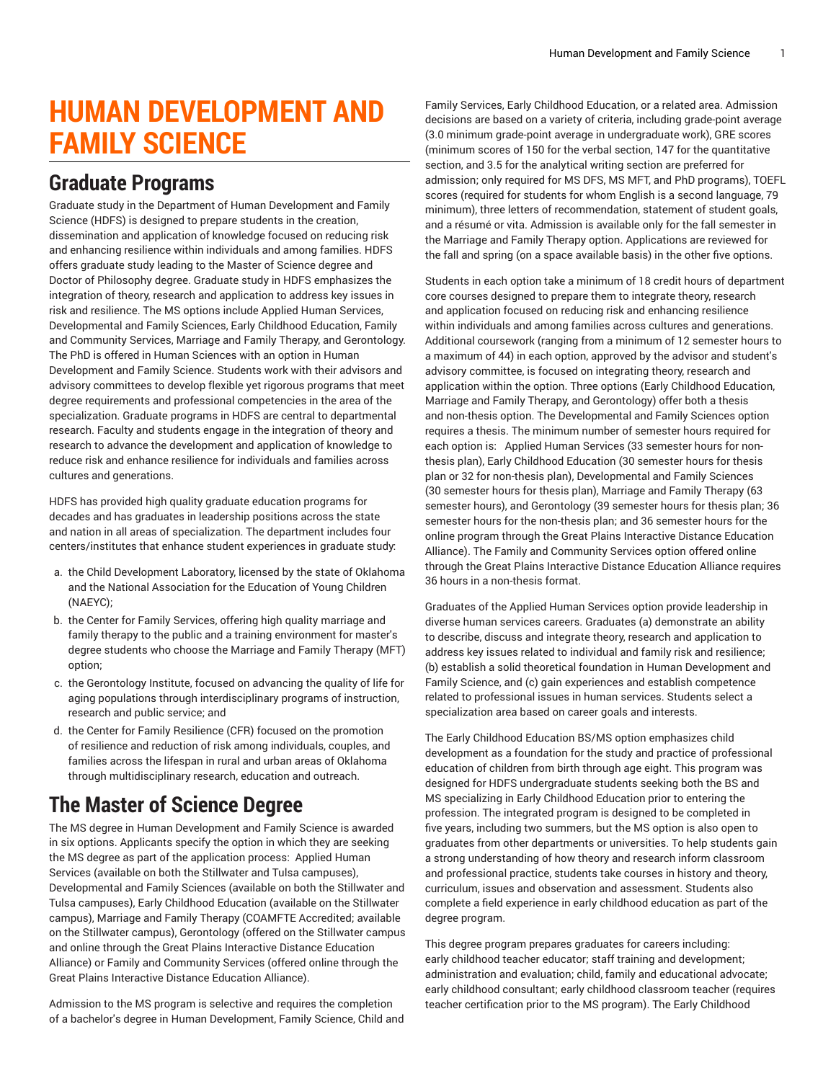## **HUMAN DEVELOPMENT AND FAMILY SCIENCE**

## **Graduate Programs**

Graduate study in the Department of Human Development and Family Science (HDFS) is designed to prepare students in the creation, dissemination and application of knowledge focused on reducing risk and enhancing resilience within individuals and among families. HDFS offers graduate study leading to the Master of Science degree and Doctor of Philosophy degree. Graduate study in HDFS emphasizes the integration of theory, research and application to address key issues in risk and resilience. The MS options include Applied Human Services, Developmental and Family Sciences, Early Childhood Education, Family and Community Services, Marriage and Family Therapy, and Gerontology. The PhD is offered in Human Sciences with an option in Human Development and Family Science. Students work with their advisors and advisory committees to develop flexible yet rigorous programs that meet degree requirements and professional competencies in the area of the specialization. Graduate programs in HDFS are central to departmental research. Faculty and students engage in the integration of theory and research to advance the development and application of knowledge to reduce risk and enhance resilience for individuals and families across cultures and generations.

HDFS has provided high quality graduate education programs for decades and has graduates in leadership positions across the state and nation in all areas of specialization. The department includes four centers/institutes that enhance student experiences in graduate study:

- a. the Child Development Laboratory, licensed by the state of Oklahoma and the National Association for the Education of Young Children (NAEYC);
- b. the Center for Family Services, offering high quality marriage and family therapy to the public and a training environment for master's degree students who choose the Marriage and Family Therapy (MFT) option;
- c. the Gerontology Institute, focused on advancing the quality of life for aging populations through interdisciplinary programs of instruction, research and public service; and
- d. the Center for Family Resilience (CFR) focused on the promotion of resilience and reduction of risk among individuals, couples, and families across the lifespan in rural and urban areas of Oklahoma through multidisciplinary research, education and outreach.

## **The Master of Science Degree**

The MS degree in Human Development and Family Science is awarded in six options. Applicants specify the option in which they are seeking the MS degree as part of the application process: Applied Human Services (available on both the Stillwater and Tulsa campuses), Developmental and Family Sciences (available on both the Stillwater and Tulsa campuses), Early Childhood Education (available on the Stillwater campus), Marriage and Family Therapy (COAMFTE Accredited; available on the Stillwater campus), Gerontology (offered on the Stillwater campus and online through the Great Plains Interactive Distance Education Alliance) or Family and Community Services (offered online through the Great Plains Interactive Distance Education Alliance).

Admission to the MS program is selective and requires the completion of a bachelor's degree in Human Development, Family Science, Child and

Family Services, Early Childhood Education, or a related area. Admission decisions are based on a variety of criteria, including grade-point average (3.0 minimum grade-point average in undergraduate work), GRE scores (minimum scores of 150 for the verbal section, 147 for the quantitative section, and 3.5 for the analytical writing section are preferred for admission; only required for MS DFS, MS MFT, and PhD programs), TOEFL scores (required for students for whom English is a second language, 79 minimum), three letters of recommendation, statement of student goals, and a résumé or vita. Admission is available only for the fall semester in the Marriage and Family Therapy option. Applications are reviewed for the fall and spring (on a space available basis) in the other five options.

Students in each option take a minimum of 18 credit hours of department core courses designed to prepare them to integrate theory, research and application focused on reducing risk and enhancing resilience within individuals and among families across cultures and generations. Additional coursework (ranging from a minimum of 12 semester hours to a maximum of 44) in each option, approved by the advisor and student's advisory committee, is focused on integrating theory, research and application within the option. Three options (Early Childhood Education, Marriage and Family Therapy, and Gerontology) offer both a thesis and non-thesis option. The Developmental and Family Sciences option requires a thesis. The minimum number of semester hours required for each option is: Applied Human Services (33 semester hours for nonthesis plan), Early Childhood Education (30 semester hours for thesis plan or 32 for non-thesis plan), Developmental and Family Sciences (30 semester hours for thesis plan), Marriage and Family Therapy (63 semester hours), and Gerontology (39 semester hours for thesis plan; 36 semester hours for the non-thesis plan; and 36 semester hours for the online program through the Great Plains Interactive Distance Education Alliance). The Family and Community Services option offered online through the Great Plains Interactive Distance Education Alliance requires 36 hours in a non-thesis format.

Graduates of the Applied Human Services option provide leadership in diverse human services careers. Graduates (a) demonstrate an ability to describe, discuss and integrate theory, research and application to address key issues related to individual and family risk and resilience; (b) establish a solid theoretical foundation in Human Development and Family Science, and (c) gain experiences and establish competence related to professional issues in human services. Students select a specialization area based on career goals and interests.

The Early Childhood Education BS/MS option emphasizes child development as a foundation for the study and practice of professional education of children from birth through age eight. This program was designed for HDFS undergraduate students seeking both the BS and MS specializing in Early Childhood Education prior to entering the profession. The integrated program is designed to be completed in five years, including two summers, but the MS option is also open to graduates from other departments or universities. To help students gain a strong understanding of how theory and research inform classroom and professional practice, students take courses in history and theory, curriculum, issues and observation and assessment. Students also complete a field experience in early childhood education as part of the degree program.

This degree program prepares graduates for careers including: early childhood teacher educator; staff training and development; administration and evaluation; child, family and educational advocate; early childhood consultant; early childhood classroom teacher (requires teacher certification prior to the MS program). The Early Childhood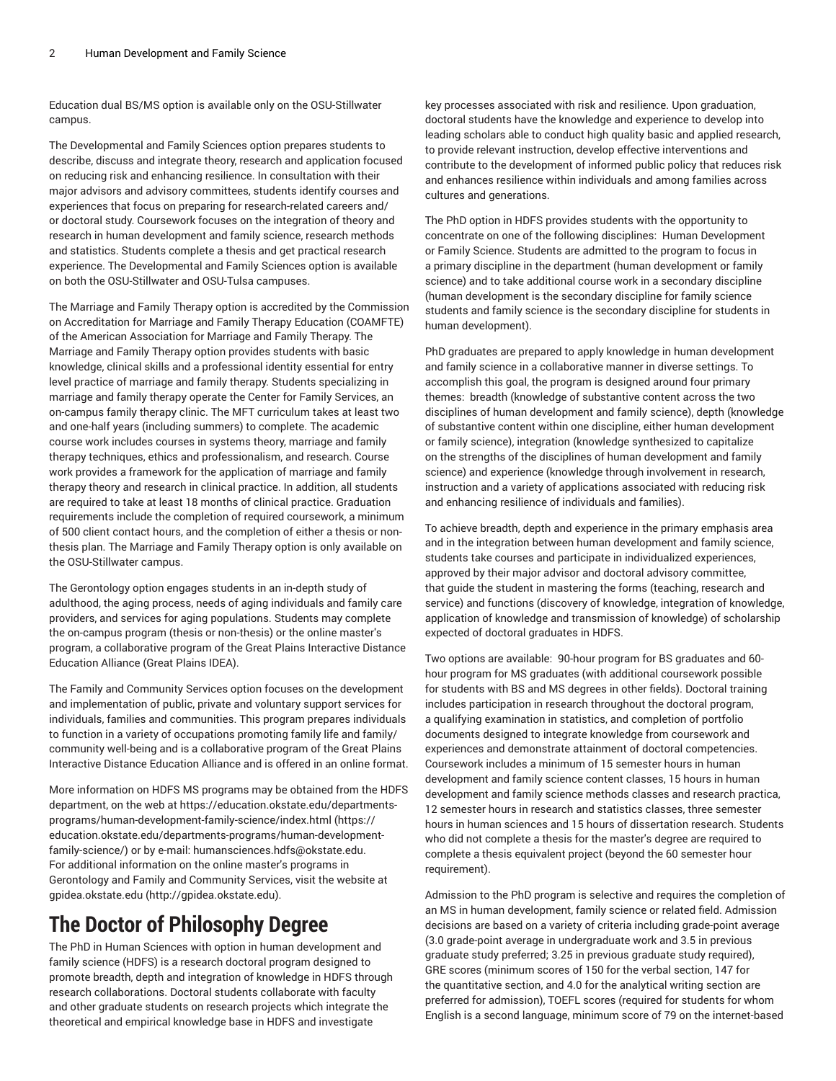Education dual BS/MS option is available only on the OSU-Stillwater campus.

The Developmental and Family Sciences option prepares students to describe, discuss and integrate theory, research and application focused on reducing risk and enhancing resilience. In consultation with their major advisors and advisory committees, students identify courses and experiences that focus on preparing for research-related careers and/ or doctoral study. Coursework focuses on the integration of theory and research in human development and family science, research methods and statistics. Students complete a thesis and get practical research experience. The Developmental and Family Sciences option is available on both the OSU-Stillwater and OSU-Tulsa campuses.

The Marriage and Family Therapy option is accredited by the Commission on Accreditation for Marriage and Family Therapy Education (COAMFTE) of the American Association for Marriage and Family Therapy. The Marriage and Family Therapy option provides students with basic knowledge, clinical skills and a professional identity essential for entry level practice of marriage and family therapy. Students specializing in marriage and family therapy operate the Center for Family Services, an on-campus family therapy clinic. The MFT curriculum takes at least two and one-half years (including summers) to complete. The academic course work includes courses in systems theory, marriage and family therapy techniques, ethics and professionalism, and research. Course work provides a framework for the application of marriage and family therapy theory and research in clinical practice. In addition, all students are required to take at least 18 months of clinical practice. Graduation requirements include the completion of required coursework, a minimum of 500 client contact hours, and the completion of either a thesis or nonthesis plan. The Marriage and Family Therapy option is only available on the OSU-Stillwater campus.

The Gerontology option engages students in an in-depth study of adulthood, the aging process, needs of aging individuals and family care providers, and services for aging populations. Students may complete the on-campus program (thesis or non-thesis) or the online master's program, a collaborative program of the Great Plains Interactive Distance Education Alliance (Great Plains IDEA).

The Family and Community Services option focuses on the development and implementation of public, private and voluntary support services for individuals, families and communities. This program prepares individuals to function in a variety of occupations promoting family life and family/ community well-being and is a collaborative program of the Great Plains Interactive Distance Education Alliance and is offered in an online format.

More information on HDFS MS programs may be obtained from the HDFS department, on the web at [https://education.okstate.edu/departments](https://education.okstate.edu/departments-programs/human-development-family-science/)[programs/human-development-family-science/index.html](https://education.okstate.edu/departments-programs/human-development-family-science/) ([https://](https://education.okstate.edu/departments-programs/human-development-family-science/) [education.okstate.edu/departments-programs/human-development](https://education.okstate.edu/departments-programs/human-development-family-science/)[family-science/](https://education.okstate.edu/departments-programs/human-development-family-science/)) or by e-mail: [humansciences.hdfs@okstate.edu](mailto:humansciences.hdfs@okstate.edu). For additional information on the online master's programs in Gerontology and Family and Community Services, visit the website at [gpidea.okstate.edu \(http://gpidea.okstate.edu](http://gpidea.okstate.edu)).

## **The Doctor of Philosophy Degree**

The PhD in Human Sciences with option in human development and family science (HDFS) is a research doctoral program designed to promote breadth, depth and integration of knowledge in HDFS through research collaborations. Doctoral students collaborate with faculty and other graduate students on research projects which integrate the theoretical and empirical knowledge base in HDFS and investigate

key processes associated with risk and resilience. Upon graduation, doctoral students have the knowledge and experience to develop into leading scholars able to conduct high quality basic and applied research, to provide relevant instruction, develop effective interventions and contribute to the development of informed public policy that reduces risk and enhances resilience within individuals and among families across cultures and generations.

The PhD option in HDFS provides students with the opportunity to concentrate on one of the following disciplines: Human Development or Family Science. Students are admitted to the program to focus in a primary discipline in the department (human development or family science) and to take additional course work in a secondary discipline (human development is the secondary discipline for family science students and family science is the secondary discipline for students in human development).

PhD graduates are prepared to apply knowledge in human development and family science in a collaborative manner in diverse settings. To accomplish this goal, the program is designed around four primary themes: breadth (knowledge of substantive content across the two disciplines of human development and family science), depth (knowledge of substantive content within one discipline, either human development or family science), integration (knowledge synthesized to capitalize on the strengths of the disciplines of human development and family science) and experience (knowledge through involvement in research, instruction and a variety of applications associated with reducing risk and enhancing resilience of individuals and families).

To achieve breadth, depth and experience in the primary emphasis area and in the integration between human development and family science, students take courses and participate in individualized experiences, approved by their major advisor and doctoral advisory committee, that guide the student in mastering the forms (teaching, research and service) and functions (discovery of knowledge, integration of knowledge, application of knowledge and transmission of knowledge) of scholarship expected of doctoral graduates in HDFS.

Two options are available: 90-hour program for BS graduates and 60 hour program for MS graduates (with additional coursework possible for students with BS and MS degrees in other fields). Doctoral training includes participation in research throughout the doctoral program, a qualifying examination in statistics, and completion of portfolio documents designed to integrate knowledge from coursework and experiences and demonstrate attainment of doctoral competencies. Coursework includes a minimum of 15 semester hours in human development and family science content classes, 15 hours in human development and family science methods classes and research practica, 12 semester hours in research and statistics classes, three semester hours in human sciences and 15 hours of dissertation research. Students who did not complete a thesis for the master's degree are required to complete a thesis equivalent project (beyond the 60 semester hour requirement).

Admission to the PhD program is selective and requires the completion of an MS in human development, family science or related field. Admission decisions are based on a variety of criteria including grade-point average (3.0 grade-point average in undergraduate work and 3.5 in previous graduate study preferred; 3.25 in previous graduate study required), GRE scores (minimum scores of 150 for the verbal section, 147 for the quantitative section, and 4.0 for the analytical writing section are preferred for admission), TOEFL scores (required for students for whom English is a second language, minimum score of 79 on the internet-based